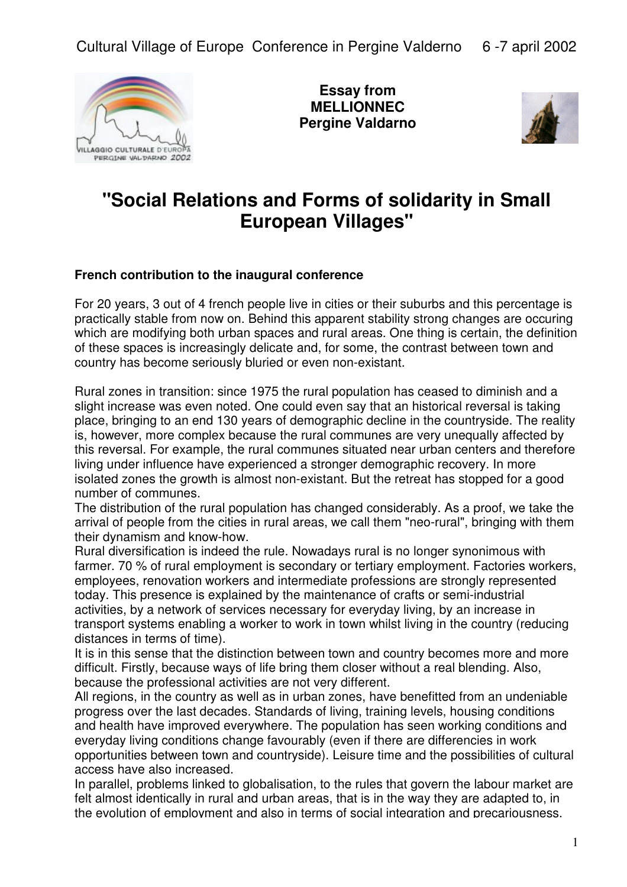

**Essay from MELLIONNEC Pergine Valdarno**



## **"Social Relations and Forms of solidarity in Small European Villages"**

## **French contribution to the inaugural conference**

For 20 years, 3 out of 4 french people live in cities or their suburbs and this percentage is practically stable from now on. Behind this apparent stability strong changes are occuring which are modifying both urban spaces and rural areas. One thing is certain, the definition of these spaces is increasingly delicate and, for some, the contrast between town and country has become seriously bluried or even non-existant.

Rural zones in transition: since 1975 the rural population has ceased to diminish and a slight increase was even noted. One could even say that an historical reversal is taking place, bringing to an end 130 years of demographic decline in the countryside. The reality is, however, more complex because the rural communes are very unequally affected by this reversal. For example, the rural communes situated near urban centers and therefore living under influence have experienced a stronger demographic recovery. In more isolated zones the growth is almost non-existant. But the retreat has stopped for a good number of communes.

The distribution of the rural population has changed considerably. As a proof, we take the arrival of people from the cities in rural areas, we call them "neo-rural", bringing with them their dynamism and know-how.

Rural diversification is indeed the rule. Nowadays rural is no longer synonimous with farmer. 70 % of rural employment is secondary or tertiary employment. Factories workers, employees, renovation workers and intermediate professions are strongly represented today. This presence is explained by the maintenance of crafts or semi-industrial activities, by a network of services necessary for everyday living, by an increase in transport systems enabling a worker to work in town whilst living in the country (reducing distances in terms of time).

It is in this sense that the distinction between town and country becomes more and more difficult. Firstly, because ways of life bring them closer without a real blending. Also, because the professional activities are not very different.

All regions, in the country as well as in urban zones, have benefitted from an undeniable progress over the last decades. Standards of living, training levels, housing conditions and health have improved everywhere. The population has seen working conditions and everyday living conditions change favourably (even if there are differencies in work opportunities between town and countryside). Leisure time and the possibilities of cultural access have also increased.

In parallel, problems linked to globalisation, to the rules that govern the labour market are felt almost identically in rural and urban areas, that is in the way they are adapted to, in the evolution of employment and also in terms of social integration and precariousness.